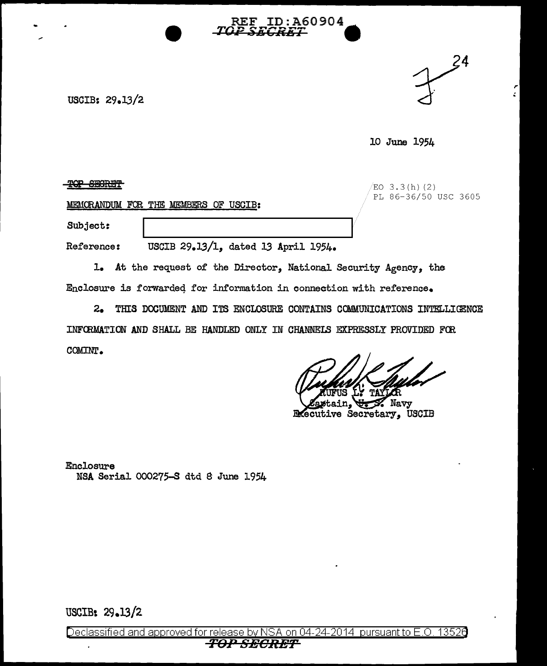



ż.

10 June 1954

 $\frac{1}{2}$ QP SECRET EQUATION  $\frac{1}{2}$  (b) (2)

PL 86-36/50 USC 3605

MEMORANDUM FOR THE MEMBERS OF USCIB:

Subject:

Reference: USCIB 29.13/1, dated 13 April 1954.

1. At the request of the Director, National Security Agency, the Enclosure is forwarded for information in connection with reference.

2. THIS DOCUMENT AND ITS ENCLOSURE CONTAINS COMMUNICATIONS INTELLIGENCE INFCRMATION AND SHALL BE HANDLED ONLY IN CHANNELS EXPRESSLY PROVIDED FOO. COMINT.

**ID:A60904** 

REF.

Navy **Executive Secretary, USCIB** 

Enclosure NSA Serial 000275-S dtd 8 June 1954

USCIB: 29.13/2

Declassified and approved for release by NSA on 04-24-2014 pursuant to E.O. 13526 *TOPSEORET*